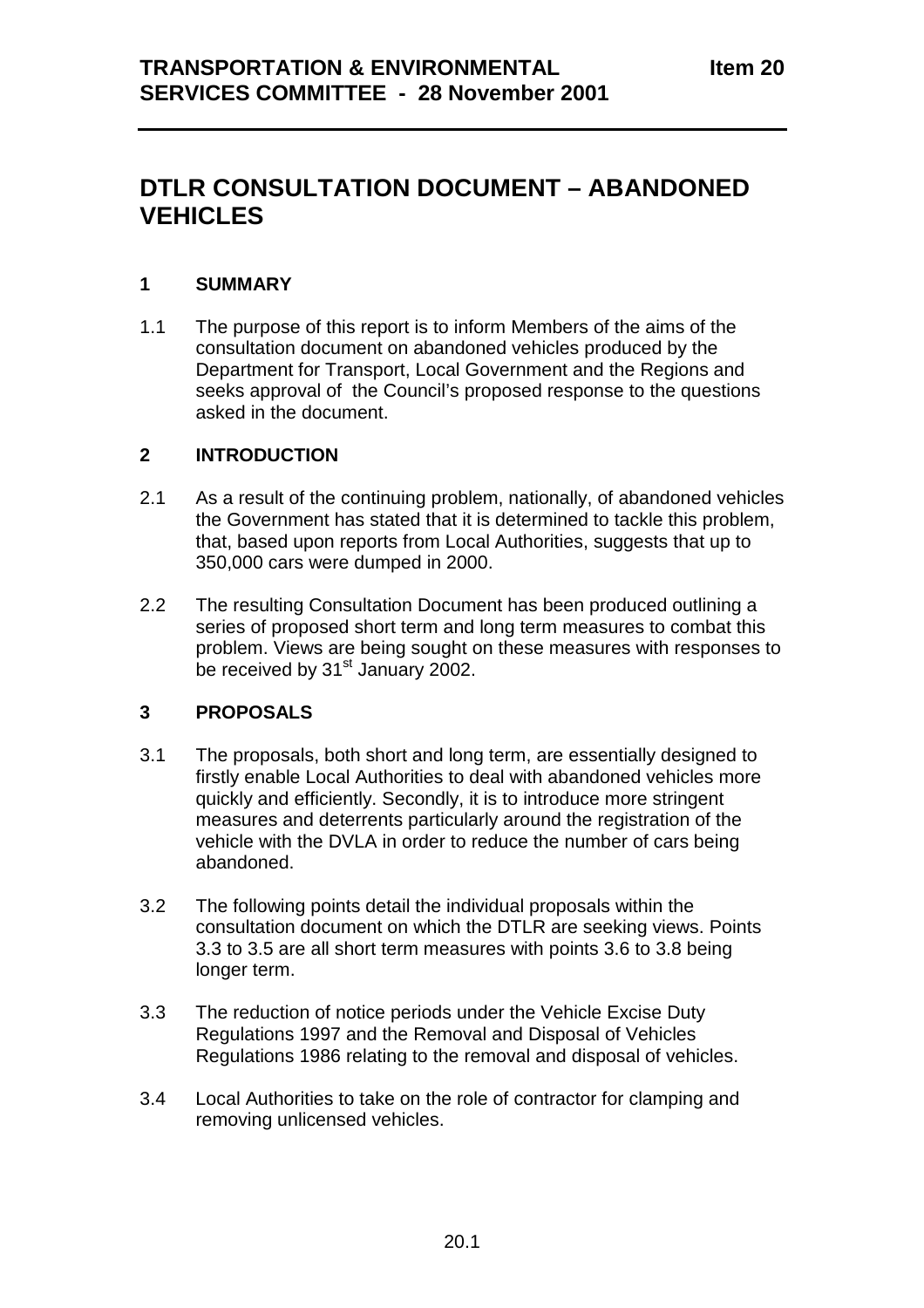# **DTLR CONSULTATION DOCUMENT – ABANDONED VEHICLES**

## **1 SUMMARY**

1.1 The purpose of this report is to inform Members of the aims of the consultation document on abandoned vehicles produced by the Department for Transport, Local Government and the Regions and seeks approval of the Council's proposed response to the questions asked in the document.

### **2 INTRODUCTION**

- 2.1 As a result of the continuing problem, nationally, of abandoned vehicles the Government has stated that it is determined to tackle this problem, that, based upon reports from Local Authorities, suggests that up to 350,000 cars were dumped in 2000.
- 2.2 The resulting Consultation Document has been produced outlining a series of proposed short term and long term measures to combat this problem. Views are being sought on these measures with responses to be received by 31<sup>st</sup> January 2002.

## **3 PROPOSALS**

- 3.1 The proposals, both short and long term, are essentially designed to firstly enable Local Authorities to deal with abandoned vehicles more quickly and efficiently. Secondly, it is to introduce more stringent measures and deterrents particularly around the registration of the vehicle with the DVLA in order to reduce the number of cars being abandoned.
- 3.2 The following points detail the individual proposals within the consultation document on which the DTLR are seeking views. Points 3.3 to 3.5 are all short term measures with points 3.6 to 3.8 being longer term.
- 3.3 The reduction of notice periods under the Vehicle Excise Duty Regulations 1997 and the Removal and Disposal of Vehicles Regulations 1986 relating to the removal and disposal of vehicles.
- 3.4 Local Authorities to take on the role of contractor for clamping and removing unlicensed vehicles.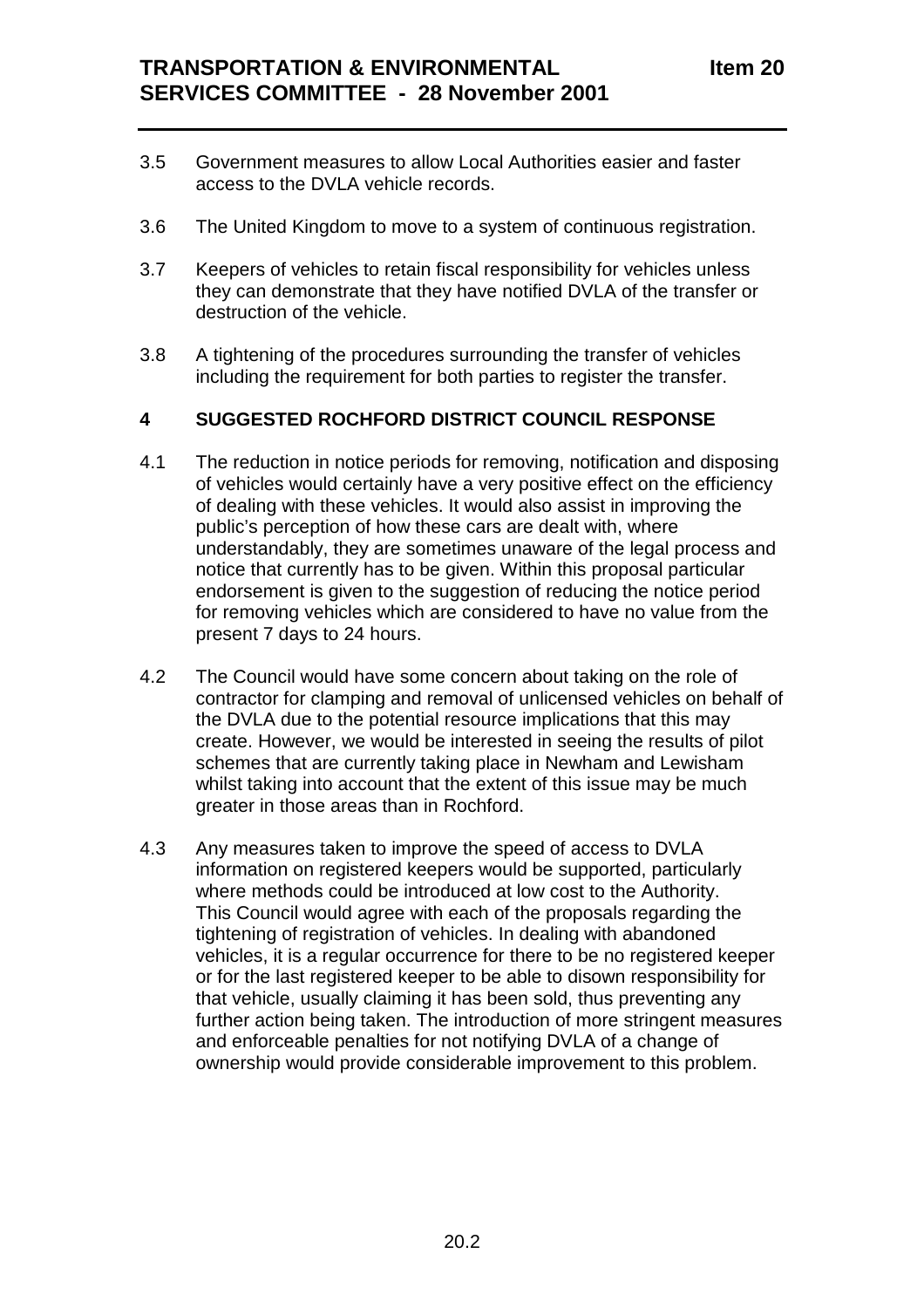- 3.5 Government measures to allow Local Authorities easier and faster access to the DVLA vehicle records.
- 3.6 The United Kingdom to move to a system of continuous registration.
- 3.7 Keepers of vehicles to retain fiscal responsibility for vehicles unless they can demonstrate that they have notified DVLA of the transfer or destruction of the vehicle.
- 3.8 A tightening of the procedures surrounding the transfer of vehicles including the requirement for both parties to register the transfer.

## **4 SUGGESTED ROCHFORD DISTRICT COUNCIL RESPONSE**

- 4.1 The reduction in notice periods for removing, notification and disposing of vehicles would certainly have a very positive effect on the efficiency of dealing with these vehicles. It would also assist in improving the public's perception of how these cars are dealt with, where understandably, they are sometimes unaware of the legal process and notice that currently has to be given. Within this proposal particular endorsement is given to the suggestion of reducing the notice period for removing vehicles which are considered to have no value from the present 7 days to 24 hours.
- 4.2 The Council would have some concern about taking on the role of contractor for clamping and removal of unlicensed vehicles on behalf of the DVLA due to the potential resource implications that this may create. However, we would be interested in seeing the results of pilot schemes that are currently taking place in Newham and Lewisham whilst taking into account that the extent of this issue may be much greater in those areas than in Rochford.
- 4.3 Any measures taken to improve the speed of access to DVLA information on registered keepers would be supported, particularly where methods could be introduced at low cost to the Authority. This Council would agree with each of the proposals regarding the tightening of registration of vehicles. In dealing with abandoned vehicles, it is a regular occurrence for there to be no registered keeper or for the last registered keeper to be able to disown responsibility for that vehicle, usually claiming it has been sold, thus preventing any further action being taken. The introduction of more stringent measures and enforceable penalties for not notifying DVLA of a change of ownership would provide considerable improvement to this problem.